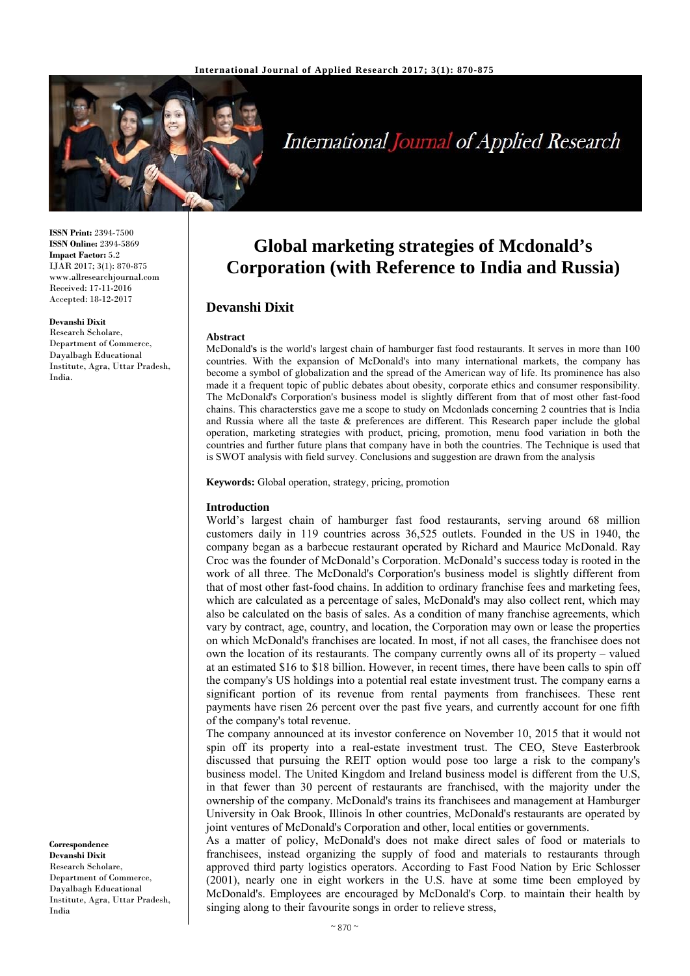

# International Journal of Applied Research

**ISSN Print:** 2394-7500 **ISSN Online:** 2394-5869 **Impact Factor:** 5.2 IJAR 2017; 3(1): 870-875 www.allresearchjournal.com Received: 17-11-2016 Accepted: 18-12-2017

#### **Devanshi Dixit**

Research Scholare, Department of Commerce, Dayalbagh Educational Institute, Agra, Uttar Pradesh, India.

**Correspondence Devanshi Dixit**  Research Scholare, Department of Commerce, Dayalbagh Educational Institute, Agra, Uttar Pradesh, India

## **Global marketing strategies of Mcdonald's Corporation (with Reference to India and Russia)**

### **Devanshi Dixit**

#### **Abstract**

McDonald'**s** is the world's largest chain of hamburger fast food restaurants. It serves in more than 100 countries. With the expansion of McDonald's into many international markets, the company has become a symbol of globalization and the spread of the American way of life. Its prominence has also made it a frequent topic of public debates about obesity, corporate ethics and consumer responsibility. The McDonald's Corporation's business model is slightly different from that of most other fast-food chains. This characterstics gave me a scope to study on Mcdonlads concerning 2 countries that is India and Russia where all the taste & preferences are different. This Research paper include the global operation, marketing strategies with product, pricing, promotion, menu food variation in both the countries and further future plans that company have in both the countries. The Technique is used that is SWOT analysis with field survey. Conclusions and suggestion are drawn from the analysis

**Keywords:** Global operation, strategy, pricing, promotion

#### **Introduction**

World's largest chain of hamburger fast food restaurants, serving around 68 million customers daily in 119 countries across 36,525 outlets. Founded in the US in 1940, the company began as a barbecue restaurant operated by Richard and Maurice McDonald. Ray Croc was the founder of McDonald's Corporation. McDonald's success today is rooted in the work of all three. The McDonald's Corporation's business model is slightly different from that of most other fast-food chains. In addition to ordinary franchise fees and marketing fees, which are calculated as a percentage of sales, McDonald's may also collect rent, which may also be calculated on the basis of sales. As a condition of many franchise agreements, which vary by contract, age, country, and location, the Corporation may own or lease the properties on which McDonald's franchises are located. In most, if not all cases, the franchisee does not own the location of its restaurants. The company currently owns all of its property – valued at an estimated \$16 to \$18 billion. However, in recent times, there have been calls to spin off the company's US holdings into a potential real estate investment trust. The company earns a significant portion of its revenue from rental payments from franchisees. These rent payments have risen 26 percent over the past five years, and currently account for one fifth of the company's total revenue.

The company announced at its investor conference on November 10, 2015 that it would not spin off its property into a real-estate investment trust. The CEO, Steve Easterbrook discussed that pursuing the REIT option would pose too large a risk to the company's business model. The United Kingdom and Ireland business model is different from the U.S, in that fewer than 30 percent of restaurants are franchised, with the majority under the ownership of the company. McDonald's trains its franchisees and management at Hamburger University in Oak Brook, Illinois In other countries, McDonald's restaurants are operated by joint ventures of McDonald's Corporation and other, local entities or governments.

As a matter of policy, McDonald's does not make direct sales of food or materials to franchisees, instead organizing the supply of food and materials to restaurants through approved third party logistics operators. According to Fast Food Nation by Eric Schlosser (2001), nearly one in eight workers in the U.S. have at some time been employed by McDonald's. Employees are encouraged by McDonald's Corp. to maintain their health by singing along to their favourite songs in order to relieve stress,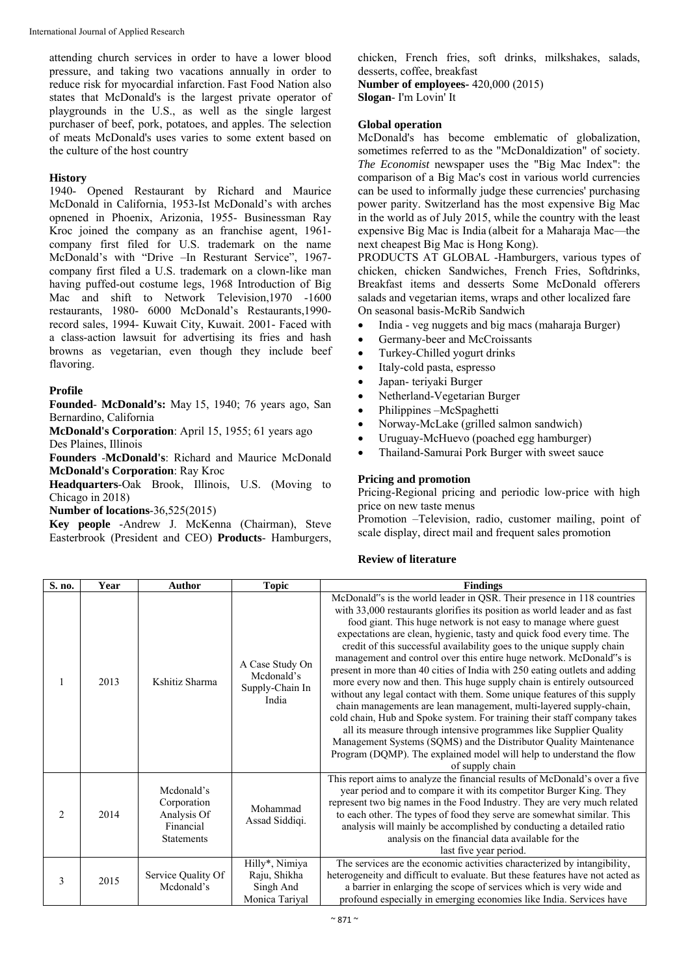attending church services in order to have a lower blood pressure, and taking two vacations annually in order to reduce risk for myocardial infarction. Fast Food Nation also states that McDonald's is the largest private operator of playgrounds in the U.S., as well as the single largest purchaser of beef, pork, potatoes, and apples. The selection of meats McDonald's uses varies to some extent based on the culture of the host country

#### **History**

1940- Opened Restaurant by Richard and Maurice McDonald in California, 1953-Ist McDonald's with arches opnened in Phoenix, Arizonia, 1955- Businessman Ray Kroc joined the company as an franchise agent, 1961 company first filed for U.S. trademark on the name McDonald's with "Drive –In Resturant Service", 1967 company first filed a U.S. trademark on a clown-like man having puffed-out costume legs, 1968 Introduction of Big Mac and shift to Network Television, 1970 -1600 restaurants, 1980- 6000 McDonald's Restaurants,1990 record sales, 1994- Kuwait City, Kuwait. 2001- Faced with a class-action lawsuit for advertising its fries and hash browns as vegetarian, even though they include beef flavoring.

#### **Profile**

**Founded**- **McDonald's:** May 15, 1940; 76 years ago, San Bernardino, California

**McDonald's Corporation**: April 15, 1955; 61 years ago Des Plaines, Illinois

**Founders** -**McDonald's**: Richard and Maurice McDonald **McDonald's Corporation**: Ray Kroc

**Headquarters**-Oak Brook, Illinois, U.S. (Moving to Chicago in 2018)

**Number of locations**-36,525(2015)

**Key people** -Andrew J. McKenna (Chairman), Steve Easterbrook (President and CEO) **Products**- Hamburgers, chicken, French fries, soft drinks, milkshakes, salads, desserts, coffee, breakfast **Number of employees-** 420,000 (2015)

**Slogan**- I'm Lovin' It

#### **Global operation**

McDonald's has become emblematic of globalization, sometimes referred to as the "McDonaldization" of society. *The Economist* newspaper uses the "Big Mac Index": the comparison of a Big Mac's cost in various world currencies can be used to informally judge these currencies' purchasing power parity. Switzerland has the most expensive Big Mac in the world as of July 2015, while the country with the least expensive Big Mac is India (albeit for a Maharaja Mac—the next cheapest Big Mac is Hong Kong).

PRODUCTS AT GLOBAL -Hamburgers, various types of chicken, chicken Sandwiches, French Fries, Softdrinks, Breakfast items and desserts Some McDonald offerers salads and vegetarian items, wraps and other localized fare On seasonal basis-McRib Sandwich

- India veg nuggets and big macs (maharaja Burger)
- Germany-beer and McCroissants
- Turkey-Chilled yogurt drinks
- Italy-cold pasta, espresso
- Japan- teriyaki Burger
- Netherland-Vegetarian Burger
- Philippines –McSpaghetti
- Norway-McLake (grilled salmon sandwich)
- Uruguay-McHuevo (poached egg hamburger)
- Thailand-Samurai Pork Burger with sweet sauce

#### **Pricing and promotion**

Pricing-Regional pricing and periodic low-price with high price on new taste menus

Promotion –Television, radio, customer mailing, point of scale display, direct mail and frequent sales promotion

#### **Review of literature**

| S. no.         | Year | Author                                                                     | Topic                                                         | <b>Findings</b>                                                                                                                                                                                                                                                                                                                                                                                                                                                                                                                                                                                                                                                                                                                                                                                                                                                                                                                                                                                                                                                                |
|----------------|------|----------------------------------------------------------------------------|---------------------------------------------------------------|--------------------------------------------------------------------------------------------------------------------------------------------------------------------------------------------------------------------------------------------------------------------------------------------------------------------------------------------------------------------------------------------------------------------------------------------------------------------------------------------------------------------------------------------------------------------------------------------------------------------------------------------------------------------------------------------------------------------------------------------------------------------------------------------------------------------------------------------------------------------------------------------------------------------------------------------------------------------------------------------------------------------------------------------------------------------------------|
|                | 2013 | Kshitiz Sharma                                                             | A Case Study On<br>Mcdonald's<br>Supply-Chain In<br>India     | McDonald"s is the world leader in QSR. Their presence in 118 countries<br>with 33,000 restaurants glorifies its position as world leader and as fast<br>food giant. This huge network is not easy to manage where guest<br>expectations are clean, hygienic, tasty and quick food every time. The<br>credit of this successful availability goes to the unique supply chain<br>management and control over this entire huge network. McDonald"s is<br>present in more than 40 cities of India with 250 eating outlets and adding<br>more every now and then. This huge supply chain is entirely outsourced<br>without any legal contact with them. Some unique features of this supply<br>chain managements are lean management, multi-layered supply-chain,<br>cold chain, Hub and Spoke system. For training their staff company takes<br>all its measure through intensive programmes like Supplier Quality<br>Management Systems (SQMS) and the Distributor Quality Maintenance<br>Program (DQMP). The explained model will help to understand the flow<br>of supply chain |
| $\mathfrak{D}$ | 2014 | Mcdonald's<br>Corporation<br>Analysis Of<br>Financial<br><b>Statements</b> | Mohammad<br>Assad Siddiqi.                                    | This report aims to analyze the financial results of McDonald's over a five<br>year period and to compare it with its competitor Burger King. They<br>represent two big names in the Food Industry. They are very much related<br>to each other. The types of food they serve are somewhat similar. This<br>analysis will mainly be accomplished by conducting a detailed ratio<br>analysis on the financial data available for the<br>last five year period.                                                                                                                                                                                                                                                                                                                                                                                                                                                                                                                                                                                                                  |
| 3              | 2015 | Service Quality Of<br>Mcdonald's                                           | Hilly*, Nimiya<br>Raju, Shikha<br>Singh And<br>Monica Tariyal | The services are the economic activities characterized by intangibility,<br>heterogeneity and difficult to evaluate. But these features have not acted as<br>a barrier in enlarging the scope of services which is very wide and<br>profound especially in emerging economies like India. Services have                                                                                                                                                                                                                                                                                                                                                                                                                                                                                                                                                                                                                                                                                                                                                                        |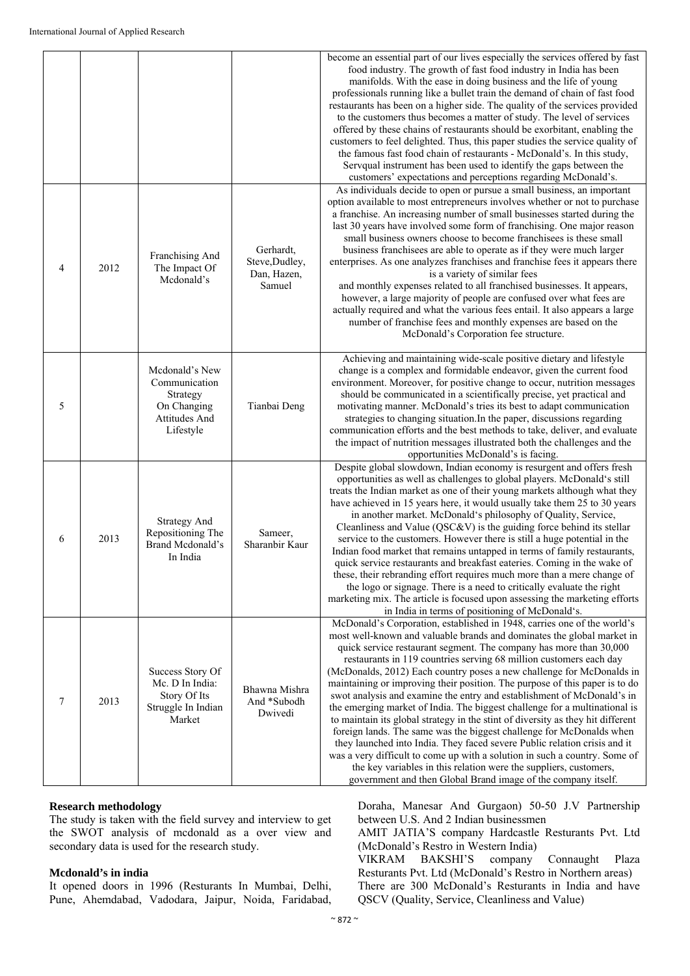|                |      |                                                                                                 |                                                      | become an essential part of our lives especially the services offered by fast<br>food industry. The growth of fast food industry in India has been<br>manifolds. With the ease in doing business and the life of young<br>professionals running like a bullet train the demand of chain of fast food<br>restaurants has been on a higher side. The quality of the services provided<br>to the customers thus becomes a matter of study. The level of services<br>offered by these chains of restaurants should be exorbitant, enabling the<br>customers to feel delighted. Thus, this paper studies the service quality of<br>the famous fast food chain of restaurants - McDonald's. In this study,<br>Servqual instrument has been used to identify the gaps between the<br>customers' expectations and perceptions regarding McDonald's.                                                                                                                                                                                                                               |
|----------------|------|-------------------------------------------------------------------------------------------------|------------------------------------------------------|---------------------------------------------------------------------------------------------------------------------------------------------------------------------------------------------------------------------------------------------------------------------------------------------------------------------------------------------------------------------------------------------------------------------------------------------------------------------------------------------------------------------------------------------------------------------------------------------------------------------------------------------------------------------------------------------------------------------------------------------------------------------------------------------------------------------------------------------------------------------------------------------------------------------------------------------------------------------------------------------------------------------------------------------------------------------------|
| $\overline{4}$ | 2012 | Franchising And<br>The Impact Of<br>Mcdonald's                                                  | Gerhardt,<br>Steve, Dudley,<br>Dan, Hazen,<br>Samuel | As individuals decide to open or pursue a small business, an important<br>option available to most entrepreneurs involves whether or not to purchase<br>a franchise. An increasing number of small businesses started during the<br>last 30 years have involved some form of franchising. One major reason<br>small business owners choose to become franchisees is these small<br>business franchisees are able to operate as if they were much larger<br>enterprises. As one analyzes franchises and franchise fees it appears there<br>is a variety of similar fees<br>and monthly expenses related to all franchised businesses. It appears,<br>however, a large majority of people are confused over what fees are<br>actually required and what the various fees entail. It also appears a large<br>number of franchise fees and monthly expenses are based on the<br>McDonald's Corporation fee structure.                                                                                                                                                         |
| 5              |      | Mcdonald's New<br>Communication<br>Strategy<br>On Changing<br><b>Attitudes And</b><br>Lifestyle | Tianbai Deng                                         | Achieving and maintaining wide-scale positive dietary and lifestyle<br>change is a complex and formidable endeavor, given the current food<br>environment. Moreover, for positive change to occur, nutrition messages<br>should be communicated in a scientifically precise, yet practical and<br>motivating manner. McDonald's tries its best to adapt communication<br>strategies to changing situation. In the paper, discussions regarding<br>communication efforts and the best methods to take, deliver, and evaluate<br>the impact of nutrition messages illustrated both the challenges and the<br>opportunities McDonald's is facing.                                                                                                                                                                                                                                                                                                                                                                                                                            |
| 6              | 2013 | <b>Strategy And</b><br>Repositioning The<br>Brand Mcdonald's<br>In India                        | Sameer,<br>Sharanbir Kaur                            | Despite global slowdown, Indian economy is resurgent and offers fresh<br>opportunities as well as challenges to global players. McDonald's still<br>treats the Indian market as one of their young markets although what they<br>have achieved in 15 years here, it would usually take them 25 to 30 years<br>in another market. McDonald's philosophy of Quality, Service,<br>Cleanliness and Value $(QSC&V)$ is the guiding force behind its stellar<br>service to the customers. However there is still a huge potential in the<br>Indian food market that remains untapped in terms of family restaurants,<br>quick service restaurants and breakfast eateries. Coming in the wake of<br>these, their rebranding effort requires much more than a mere change of<br>the logo or signage. There is a need to critically evaluate the right<br>marketing mix. The article is focused upon assessing the marketing efforts<br>in India in terms of positioning of McDonald's.                                                                                            |
| 7              | 2013 | Success Story Of<br>Mc. D In India:<br>Story Of Its<br>Struggle In Indian<br>Market             | Bhawna Mishra<br>And *Subodh<br>Dwivedi              | McDonald's Corporation, established in 1948, carries one of the world's<br>most well-known and valuable brands and dominates the global market in<br>quick service restaurant segment. The company has more than 30,000<br>restaurants in 119 countries serving 68 million customers each day<br>(McDonalds, 2012) Each country poses a new challenge for McDonalds in<br>maintaining or improving their position. The purpose of this paper is to do<br>swot analysis and examine the entry and establishment of McDonald's in<br>the emerging market of India. The biggest challenge for a multinational is<br>to maintain its global strategy in the stint of diversity as they hit different<br>foreign lands. The same was the biggest challenge for McDonalds when<br>they launched into India. They faced severe Public relation crisis and it<br>was a very difficult to come up with a solution in such a country. Some of<br>the key variables in this relation were the suppliers, customers,<br>government and then Global Brand image of the company itself. |

#### **Research methodology**

The study is taken with the field survey and interview to get the SWOT analysis of mcdonald as a over view and secondary data is used for the research study.

#### **Mcdonald's in india**

It opened doors in 1996 (Resturants In Mumbai, Delhi, Pune, Ahemdabad, Vadodara, Jaipur, Noida, Faridabad, Doraha, Manesar And Gurgaon) 50-50 J.V Partnership between U.S. And 2 Indian businessmen

AMIT JATIA'S company Hardcastle Resturants Pvt. Ltd (McDonald's Restro in Western India) VIKRAM BAKSHI'S company Connaught Plaza Resturants Pvt. Ltd (McDonald's Restro in Northern areas) There are 300 McDonald's Resturants in India and have QSCV (Quality, Service, Cleanliness and Value)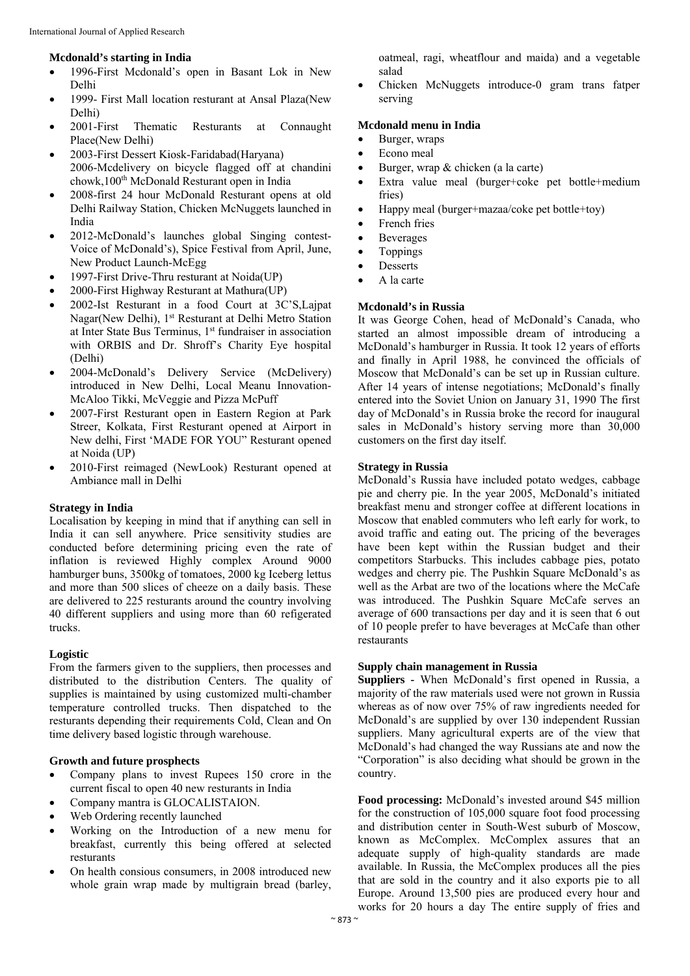#### **Mcdonald's starting in India**

- 1996-First Mcdonald's open in Basant Lok in New Delhi
- 1999- First Mall location resturant at Ansal Plaza(New Delhi)
- 2001-First Thematic Resturants at Connaught Place(New Delhi)
- 2003-First Dessert Kiosk-Faridabad(Haryana) 2006-Mcdelivery on bicycle flagged off at chandini chowk,100<sup>th</sup> McDonald Resturant open in India
- 2008-first 24 hour McDonald Resturant opens at old Delhi Railway Station, Chicken McNuggets launched in India
- 2012-McDonald's launches global Singing contest-Voice of McDonald's), Spice Festival from April, June, New Product Launch-McEgg
- 1997-First Drive-Thru resturant at Noida(UP)
- 2000-First Highway Resturant at Mathura(UP)
- 2002-Ist Resturant in a food Court at 3C'S,Lajpat Nagar(New Delhi), 1st Resturant at Delhi Metro Station at Inter State Bus Terminus, 1<sup>st</sup> fundraiser in association with ORBIS and Dr. Shroff's Charity Eye hospital (Delhi)
- 2004-McDonald's Delivery Service (McDelivery) introduced in New Delhi, Local Meanu Innovation-McAloo Tikki, McVeggie and Pizza McPuff
- 2007-First Resturant open in Eastern Region at Park Streer, Kolkata, First Resturant opened at Airport in New delhi, First 'MADE FOR YOU" Resturant opened at Noida (UP)
- 2010-First reimaged (NewLook) Resturant opened at Ambiance mall in Delhi

#### **Strategy in India**

Localisation by keeping in mind that if anything can sell in India it can sell anywhere. Price sensitivity studies are conducted before determining pricing even the rate of inflation is reviewed Highly complex Around 9000 hamburger buns, 3500kg of tomatoes, 2000 kg Iceberg lettus and more than 500 slices of cheeze on a daily basis. These are delivered to 225 resturants around the country involving 40 different suppliers and using more than 60 refigerated trucks.

#### **Logistic**

From the farmers given to the suppliers, then processes and distributed to the distribution Centers. The quality of supplies is maintained by using customized multi-chamber temperature controlled trucks. Then dispatched to the resturants depending their requirements Cold, Clean and On time delivery based logistic through warehouse.

#### **Growth and future prosphects**

- Company plans to invest Rupees 150 crore in the current fiscal to open 40 new resturants in India
- Company mantra is GLOCALISTAION.
- Web Ordering recently launched
- Working on the Introduction of a new menu for breakfast, currently this being offered at selected resturants
- On health consious consumers, in 2008 introduced new whole grain wrap made by multigrain bread (barley,

oatmeal, ragi, wheatflour and maida) and a vegetable salad

 Chicken McNuggets introduce-0 gram trans fatper serving

#### **Mcdonald menu in India**

- Burger, wraps
- Econo meal
- $\bullet$  Burger, wrap & chicken (a la carte)
- Extra value meal (burger+coke pet bottle+medium fries)
- Happy meal (burger+mazaa/coke pet bottle+toy)
- French fries
- Beverages
- Toppings
- Desserts
- A la carte

## **Mcdonald's in Russia**

It was George Cohen, head of McDonald's Canada, who started an almost impossible dream of introducing a McDonald's hamburger in Russia. It took 12 years of efforts and finally in April 1988, he convinced the officials of Moscow that McDonald's can be set up in Russian culture. After 14 years of intense negotiations; McDonald's finally entered into the Soviet Union on January 31, 1990 The first day of McDonald's in Russia broke the record for inaugural sales in McDonald's history serving more than 30,000 customers on the first day itself.

#### **Strategy in Russia**

McDonald's Russia have included potato wedges, cabbage pie and cherry pie. In the year 2005, McDonald's initiated breakfast menu and stronger coffee at different locations in Moscow that enabled commuters who left early for work, to avoid traffic and eating out. The pricing of the beverages have been kept within the Russian budget and their competitors Starbucks. This includes cabbage pies, potato wedges and cherry pie. The Pushkin Square McDonald's as well as the Arbat are two of the locations where the McCafe was introduced. The Pushkin Square McCafe serves an average of 600 transactions per day and it is seen that 6 out of 10 people prefer to have beverages at McCafe than other restaurants

#### **Supply chain management in Russia**

**Suppliers -** When McDonald's first opened in Russia, a majority of the raw materials used were not grown in Russia whereas as of now over 75% of raw ingredients needed for McDonald's are supplied by over 130 independent Russian suppliers. Many agricultural experts are of the view that McDonald's had changed the way Russians ate and now the "Corporation" is also deciding what should be grown in the country.

**Food processing:** McDonald's invested around \$45 million for the construction of 105,000 square foot food processing and distribution center in South-West suburb of Moscow, known as McComplex. McComplex assures that an adequate supply of high-quality standards are made available. In Russia, the McComplex produces all the pies that are sold in the country and it also exports pie to all Europe. Around 13,500 pies are produced every hour and works for 20 hours a day The entire supply of fries and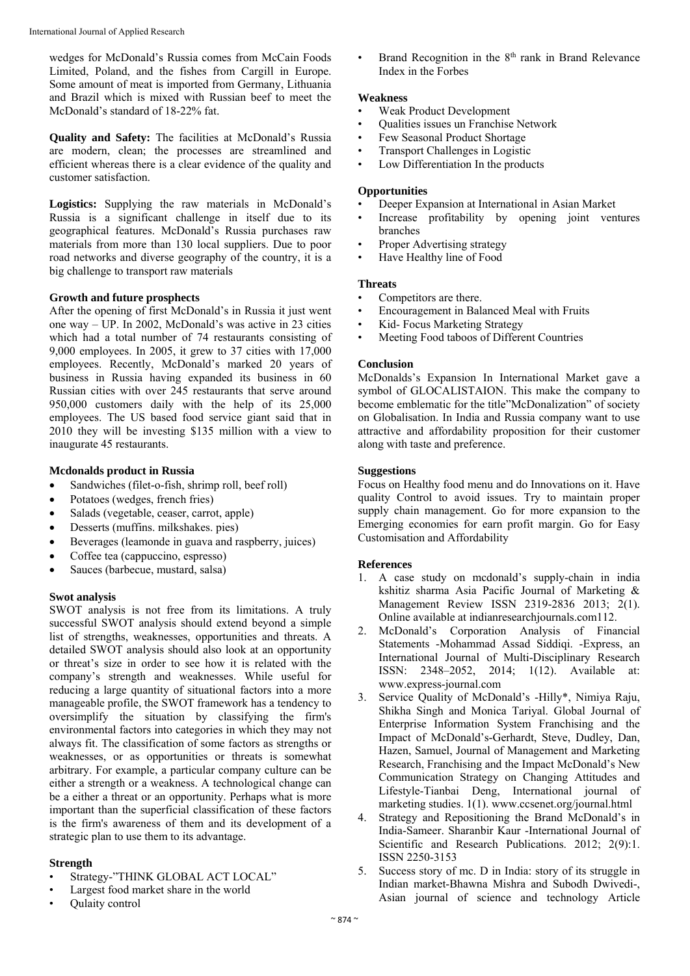wedges for McDonald's Russia comes from McCain Foods Limited, Poland, and the fishes from Cargill in Europe. Some amount of meat is imported from Germany, Lithuania and Brazil which is mixed with Russian beef to meet the McDonald's standard of 18-22% fat.

**Quality and Safety:** The facilities at McDonald's Russia are modern, clean; the processes are streamlined and efficient whereas there is a clear evidence of the quality and customer satisfaction.

**Logistics:** Supplying the raw materials in McDonald's Russia is a significant challenge in itself due to its geographical features. McDonald's Russia purchases raw materials from more than 130 local suppliers. Due to poor road networks and diverse geography of the country, it is a big challenge to transport raw materials

#### **Growth and future prosphects**

After the opening of first McDonald's in Russia it just went one way – UP. In 2002, McDonald's was active in 23 cities which had a total number of 74 restaurants consisting of 9,000 employees. In 2005, it grew to 37 cities with 17,000 employees. Recently, McDonald's marked 20 years of business in Russia having expanded its business in 60 Russian cities with over 245 restaurants that serve around 950,000 customers daily with the help of its 25,000 employees. The US based food service giant said that in 2010 they will be investing \$135 million with a view to inaugurate 45 restaurants.

#### **Mcdonalds product in Russia**

- Sandwiches (filet-o-fish, shrimp roll, beef roll)
- Potatoes (wedges, french fries)
- Salads (vegetable, ceaser, carrot, apple)
- Desserts (muffins. milkshakes. pies)
- Beverages (leamonde in guava and raspberry, juices)
- Coffee tea (cappuccino, espresso)
- Sauces (barbecue, mustard, salsa)

#### **Swot analysis**

SWOT analysis is not free from its limitations. A truly successful SWOT analysis should extend beyond a simple list of strengths, weaknesses, opportunities and threats. A detailed SWOT analysis should also look at an opportunity or threat's size in order to see how it is related with the company's strength and weaknesses. While useful for reducing a large quantity of situational factors into a more manageable profile, the SWOT framework has a tendency to oversimplify the situation by classifying the firm's environmental factors into categories in which they may not always fit. The classification of some factors as strengths or weaknesses, or as opportunities or threats is somewhat arbitrary. For example, a particular company culture can be either a strength or a weakness. A technological change can be a either a threat or an opportunity. Perhaps what is more important than the superficial classification of these factors is the firm's awareness of them and its development of a strategic plan to use them to its advantage.

#### **Strength**

- Strategy-"THINK GLOBAL ACT LOCAL"
- Largest food market share in the world
- Qulaity control

Brand Recognition in the 8<sup>th</sup> rank in Brand Relevance Index in the Forbes

#### **Weakness**

- Weak Product Development
- Qualities issues un Franchise Network
- Few Seasonal Product Shortage
- Transport Challenges in Logistic
- Low Differentiation In the products

#### **Opportunities**

- Deeper Expansion at International in Asian Market
- Increase profitability by opening joint ventures branches
- Proper Advertising strategy
- Have Healthy line of Food

#### **Threats**

- Competitors are there.
- Encouragement in Balanced Meal with Fruits
- Kid- Focus Marketing Strategy
- Meeting Food taboos of Different Countries

#### **Conclusion**

McDonalds's Expansion In International Market gave a symbol of GLOCALISTAION. This make the company to become emblematic for the title"McDonalization" of society on Globalisation. In India and Russia company want to use attractive and affordability proposition for their customer along with taste and preference.

#### **Suggestions**

Focus on Healthy food menu and do Innovations on it. Have quality Control to avoid issues. Try to maintain proper supply chain management. Go for more expansion to the Emerging economies for earn profit margin. Go for Easy Customisation and Affordability

#### **References**

- 1. A case study on mcdonald's supply-chain in india kshitiz sharma Asia Pacific Journal of Marketing & Management Review ISSN 2319-2836 2013; 2(1). Online available at indianresearchjournals.com112.
- 2. McDonald's Corporation Analysis of Financial Statements -Mohammad Assad Siddiqi. -Express, an International Journal of Multi-Disciplinary Research ISSN: 2348–2052, 2014; 1(12). Available at: www.express-journal.com
- 3. Service Quality of McDonald's -Hilly\*, Nimiya Raju, Shikha Singh and Monica Tariyal. Global Journal of Enterprise Information System Franchising and the Impact of McDonald's-Gerhardt, Steve, Dudley, Dan, Hazen, Samuel, Journal of Management and Marketing Research, Franchising and the Impact McDonald's New Communication Strategy on Changing Attitudes and Lifestyle-Tianbai Deng, International journal of marketing studies. 1(1). www.ccsenet.org/journal.html
- 4. Strategy and Repositioning the Brand McDonald's in India-Sameer. Sharanbir Kaur -International Journal of Scientific and Research Publications. 2012; 2(9):1. ISSN 2250-3153
- 5. Success story of mc. D in India: story of its struggle in Indian market-Bhawna Mishra and Subodh Dwivedi-, Asian journal of science and technology Article